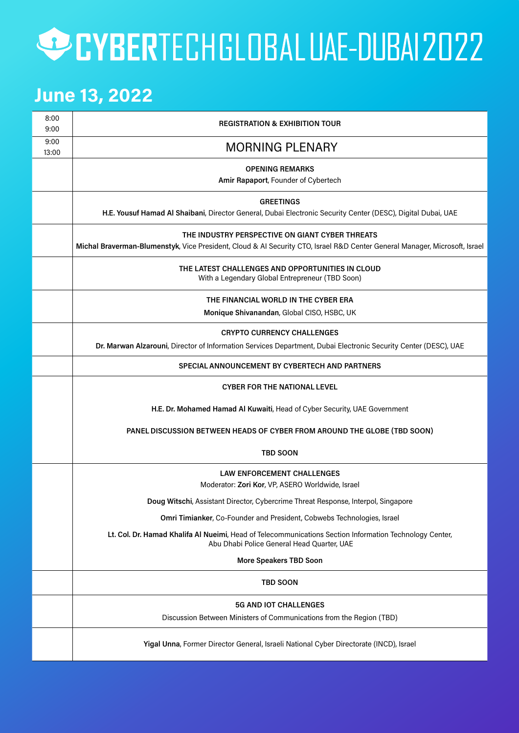## CYBERTECHGLOBALUAE-DUBAIZOZZ

#### **June 13, 2022**

| 8:00<br>9:00  | <b>REGISTRATION &amp; EXHIBITION TOUR</b>                                                                                                                                         |
|---------------|-----------------------------------------------------------------------------------------------------------------------------------------------------------------------------------|
| 9:00<br>13:00 | <b>MORNING PLENARY</b>                                                                                                                                                            |
|               | <b>OPENING REMARKS</b><br>Amir Rapaport, Founder of Cybertech                                                                                                                     |
|               | <b>GREETINGS</b><br>H.E. Yousuf Hamad Al Shaibani, Director General, Dubai Electronic Security Center (DESC), Digital Dubai, UAE                                                  |
|               | THE INDUSTRY PERSPECTIVE ON GIANT CYBER THREATS<br>Michal Braverman-Blumenstyk, Vice President, Cloud & Al Security CTO, Israel R&D Center General Manager, Microsoft, Israel     |
|               | THE LATEST CHALLENGES AND OPPORTUNITIES IN CLOUD<br>With a Legendary Global Entrepreneur (TBD Soon)                                                                               |
|               | THE FINANCIAL WORLD IN THE CYBER ERA                                                                                                                                              |
|               | Monique Shivanandan, Global CISO, HSBC, UK                                                                                                                                        |
|               | <b>CRYPTO CURRENCY CHALLENGES</b>                                                                                                                                                 |
|               | Dr. Marwan Alzarouni, Director of Information Services Department, Dubai Electronic Security Center (DESC), UAE                                                                   |
|               | SPECIAL ANNOUNCEMENT BY CYBERTECH AND PARTNERS                                                                                                                                    |
|               | <b>CYBER FOR THE NATIONAL LEVEL</b>                                                                                                                                               |
|               | H.E. Dr. Mohamed Hamad Al Kuwaiti, Head of Cyber Security, UAE Government                                                                                                         |
|               | PANEL DISCUSSION BETWEEN HEADS OF CYBER FROM AROUND THE GLOBE (TBD SOON)                                                                                                          |
|               | <b>TBD SOON</b>                                                                                                                                                                   |
|               | <b>LAW ENFORCEMENT CHALLENGES</b><br>Moderator: Zori Kor, VP, ASERO Worldwide, Israel                                                                                             |
|               | Doug Witschi, Assistant Director, Cybercrime Threat Response, Interpol, Singapore                                                                                                 |
|               |                                                                                                                                                                                   |
|               | Omri Timianker, Co-Founder and President, Cobwebs Technologies, Israel<br>Lt. Col. Dr. Hamad Khalifa Al Nueimi, Head of Telecommunications Section Information Technology Center, |
|               | Abu Dhabi Police General Head Quarter, UAE                                                                                                                                        |
|               | <b>More Speakers TBD Soon</b>                                                                                                                                                     |
|               | <b>TBD SOON</b>                                                                                                                                                                   |
|               | <b>5G AND IOT CHALLENGES</b>                                                                                                                                                      |
|               | Discussion Between Ministers of Communications from the Region (TBD)                                                                                                              |
|               | Yigal Unna, Former Director General, Israeli National Cyber Directorate (INCD), Israel                                                                                            |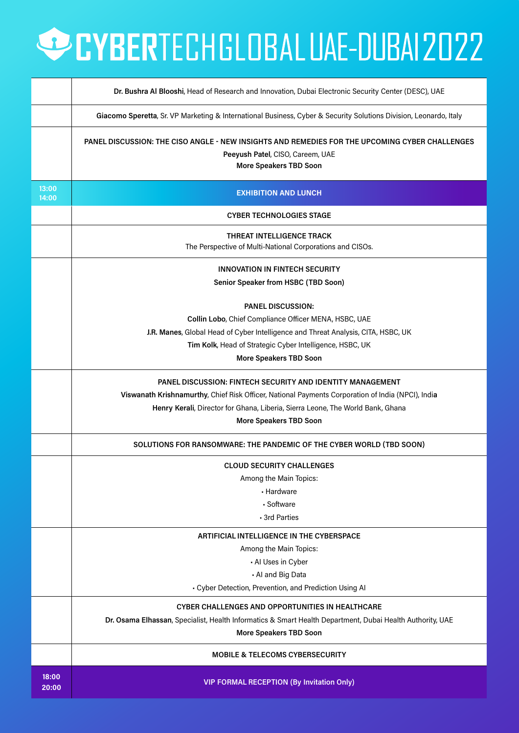## **OCYBERTECHGLOBALUAE-DUBAIZOZZ**

|                | Dr. Bushra Al Blooshi, Head of Research and Innovation, Dubai Electronic Security Center (DESC), UAE                                                                |
|----------------|---------------------------------------------------------------------------------------------------------------------------------------------------------------------|
|                | Giacomo Speretta, Sr. VP Marketing & International Business, Cyber & Security Solutions Division, Leonardo, Italy                                                   |
|                | PANEL DISCUSSION: THE CISO ANGLE - NEW INSIGHTS AND REMEDIES FOR THE UPCOMING CYBER CHALLENGES<br>Peeyush Patel, CISO, Careem, UAE<br><b>More Speakers TBD Soon</b> |
| 13:00<br>14:00 | <b>EXHIBITION AND LUNCH</b>                                                                                                                                         |
|                | <b>CYBER TECHNOLOGIES STAGE</b>                                                                                                                                     |
|                | THREAT INTELLIGENCE TRACK<br>The Perspective of Multi-National Corporations and CISOs.                                                                              |
|                | <b>INNOVATION IN FINTECH SECURITY</b><br>Senior Speaker from HSBC (TBD Soon)                                                                                        |
|                | <b>PANEL DISCUSSION:</b>                                                                                                                                            |
|                | Collin Lobo, Chief Compliance Officer MENA, HSBC, UAE                                                                                                               |
|                | J.R. Manes, Global Head of Cyber Intelligence and Threat Analysis, CITA, HSBC, UK                                                                                   |
|                | Tim Kolk, Head of Strategic Cyber Intelligence, HSBC, UK                                                                                                            |
|                | <b>More Speakers TBD Soon</b>                                                                                                                                       |
|                | <b>PANEL DISCUSSION: FINTECH SECURITY AND IDENTITY MANAGEMENT</b>                                                                                                   |
|                | Viswanath Krishnamurthy, Chief Risk Officer, National Payments Corporation of India (NPCI), India                                                                   |
|                | Henry Kerali, Director for Ghana, Liberia, Sierra Leone, The World Bank, Ghana                                                                                      |
|                | <b>More Speakers TBD Soon</b>                                                                                                                                       |
|                | SOLUTIONS FOR RANSOMWARE: THE PANDEMIC OF THE CYBER WORLD (TBD SOON)                                                                                                |
|                | <b>CLOUD SECURITY CHALLENGES</b>                                                                                                                                    |
|                | Among the Main Topics:                                                                                                                                              |
|                | - Hardware                                                                                                                                                          |
|                | · Software                                                                                                                                                          |
|                | - 3rd Parties                                                                                                                                                       |
|                | ARTIFICIAL INTELLIGENCE IN THE CYBERSPACE                                                                                                                           |
|                | Among the Main Topics:                                                                                                                                              |
|                | - Al Uses in Cyber                                                                                                                                                  |
|                | - Al and Big Data                                                                                                                                                   |
|                | - Cyber Detection, Prevention, and Prediction Using AI                                                                                                              |
|                | <b>CYBER CHALLENGES AND OPPORTUNITIES IN HEALTHCARE</b>                                                                                                             |
|                | Dr. Osama Elhassan, Specialist, Health Informatics & Smart Health Department, Dubai Health Authority, UAE                                                           |
|                | <b>More Speakers TBD Soon</b>                                                                                                                                       |
|                | <b>MOBILE &amp; TELECOMS CYBERSECURITY</b>                                                                                                                          |
| 18:00<br>20:00 | <b>VIP FORMAL RECEPTION (By Invitation Only)</b>                                                                                                                    |